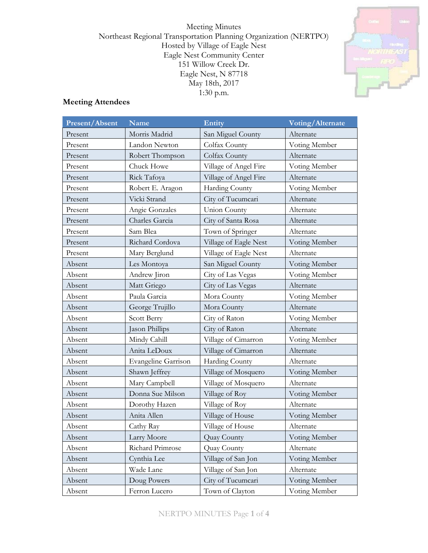Meeting Minutes Northeast Regional Transportation Planning Organization (NERTPO) Hosted by Village of Eagle Nest Eagle Nest Community Center 151 Willow Creek Dr. Eagle Nest, N 87718 May 18th, 2017 1:30 p.m.



# **Meeting Attendees**

| Present/Absent | Name                       | <b>Entity</b>         | Voting/Alternate |  |
|----------------|----------------------------|-----------------------|------------------|--|
| Present        | Morris Madrid              | San Miguel County     | Alternate        |  |
| Present        | Landon Newton              | Colfax County         | Voting Member    |  |
| Present        | Robert Thompson            | Colfax County         | Alternate        |  |
| Present        | Chuck Howe                 | Village of Angel Fire | Voting Member    |  |
| Present        | Rick Tafoya                | Village of Angel Fire | Alternate        |  |
| Present        | Robert E. Aragon           | Harding County        | Voting Member    |  |
| Present        | Vicki Strand               | City of Tucumcari     | Alternate        |  |
| Present        | Angie Gonzales             | <b>Union County</b>   | Alternate        |  |
| Present        | Charles Garcia             | City of Santa Rosa    | Alternate        |  |
| Present        | Sam Blea                   | Town of Springer      | Alternate        |  |
| Present        | Richard Cordova            | Village of Eagle Nest | Voting Member    |  |
| Present        | Mary Berglund              | Village of Eagle Nest | Alternate        |  |
| Absent         | Les Montoya                | San Miguel County     | Voting Member    |  |
| Absent         | Andrew Jiron               | City of Las Vegas     | Voting Member    |  |
| Absent         | Matt Griego                | City of Las Vegas     | Alternate        |  |
| Absent         | Paula Garcia               | Mora County           | Voting Member    |  |
| Absent         | George Trujillo            | Mora County           | Alternate        |  |
| Absent         | Scott Berry                | City of Raton         | Voting Member    |  |
| Absent         | Jason Phillips             | City of Raton         | Alternate        |  |
| Absent         | Mindy Cahill               | Village of Cimarron   | Voting Member    |  |
| Absent         | Anita LeDoux               | Village of Cimarron   | Alternate        |  |
| Absent         | <b>Evangeline Garrison</b> | Harding County        | Alternate        |  |
| Absent         | Shawn Jeffrey              | Village of Mosquero   | Voting Member    |  |
| Absent         | Mary Campbell              | Village of Mosquero   | Alternate        |  |
| Absent         | Donna Sue Milson           | Village of Roy        | Voting Member    |  |
| Absent         | Dorothy Hazen              | Village of Roy        | Alternate        |  |
| Absent         | Anita Allen                | Village of House      | Voting Member    |  |
| Absent         | Cathy Ray                  | Village of House      | Alternate        |  |
| Absent         | Larry Moore                | Quay County           | Voting Member    |  |
| Absent         | Richard Primrose           | Quay County           | Alternate        |  |
| Absent         | Cynthia Lee                | Village of San Jon    | Voting Member    |  |
| Absent         | Wade Lane                  | Village of San Jon    | Alternate        |  |
| Absent         | Doug Powers                | City of Tucumcari     | Voting Member    |  |
| Absent         | Ferron Lucero              | Town of Clayton       | Voting Member    |  |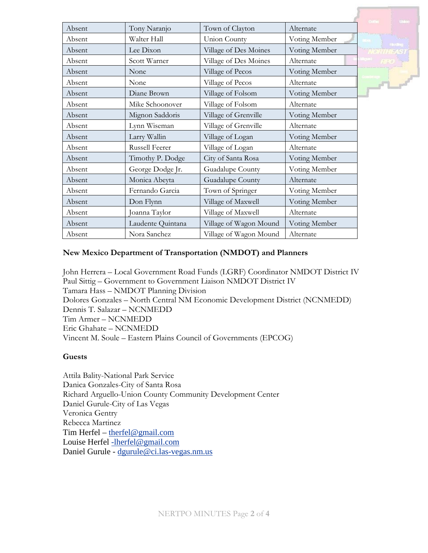|        |                   |                        |               | <b>Linker</b>  |
|--------|-------------------|------------------------|---------------|----------------|
| Absent | Tony Naranjo      | Town of Clayton        | Alternate     |                |
| Absent | Walter Hall       | Union County           | Voting Member | <b>Harding</b> |
| Absent | Lee Dixon         | Village of Des Moines  | Voting Member |                |
| Absent | Scott Warner      | Village of Des Moines  | Alternate     |                |
| Absent | None              | Village of Pecos       | Voting Member |                |
| Absent | None              | Village of Pecos       | Alternate     | $F1 -$         |
| Absent | Diane Brown       | Village of Folsom      | Voting Member |                |
| Absent | Mike Schoonover   | Village of Folsom      | Alternate     |                |
| Absent | Mignon Saddoris   | Village of Grenville   | Voting Member |                |
| Absent | Lynn Wiseman      | Village of Grenville   | Alternate     |                |
| Absent | Larry Wallin      | Village of Logan       | Voting Member |                |
| Absent | Russell Feerer    | Village of Logan       | Alternate     |                |
| Absent | Timothy P. Dodge  | City of Santa Rosa     | Voting Member |                |
| Absent | George Dodge Jr.  | Guadalupe County       | Voting Member |                |
| Absent | Monica Abeyta     | Guadalupe County       | Alternate     |                |
| Absent | Fernando Garcia   | Town of Springer       | Voting Member |                |
| Absent | Don Flynn         | Village of Maxwell     | Voting Member |                |
| Absent | Joanna Taylor     | Village of Maxwell     | Alternate     |                |
| Absent | Laudente Quintana | Village of Wagon Mound | Voting Member |                |
| Absent | Nora Sanchez      | Village of Wagon Mound | Alternate     |                |

### **New Mexico Department of Transportation (NMDOT) and Planners**

John Herrera – Local Government Road Funds (LGRF) Coordinator NMDOT District IV Paul Sittig – Government to Government Liaison NMDOT District IV Tamara Hass – NMDOT Planning Division Dolores Gonzales – North Central NM Economic Development District (NCNMEDD) Dennis T. Salazar – NCNMEDD Tim Armer – NCNMEDD Eric Ghahate – NCNMEDD Vincent M. Soule – Eastern Plains Council of Governments (EPCOG)

### **Guests**

Attila Bality-National Park Service Danica Gonzales-City of Santa Rosa Richard Arguello-Union County Community Development Center Daniel Gurule-City of Las Vegas Veronica Gentry Rebecca Martinez Tim Herfel – [therfel@gmail.com](mailto:therfel@gmail.com) Louise Herfel [-lherfel@gmail.com](mailto:-lherfel@gmail.com) Daniel Gurule - [dgurule@ci.las-vegas.nm.us](mailto:dgurule@ci.las-vegas.nm.us)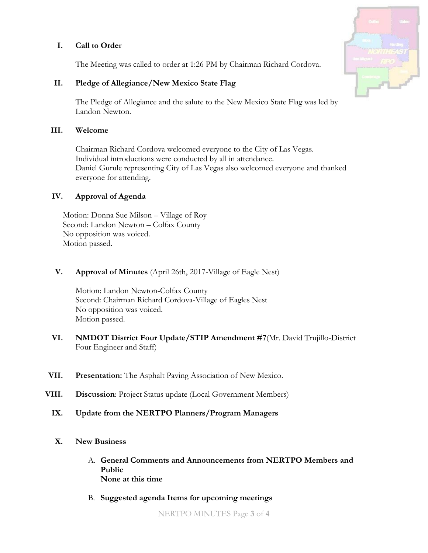## **I. Call to Order**

The Meeting was called to order at 1:26 PM by Chairman Richard Cordova.

## **II. Pledge of Allegiance/New Mexico State Flag**

The Pledge of Allegiance and the salute to the New Mexico State Flag was led by Landon Newton.

### **III. Welcome**

Chairman Richard Cordova welcomed everyone to the City of Las Vegas. Individual introductions were conducted by all in attendance. Daniel Gurule representing City of Las Vegas also welcomed everyone and thanked everyone for attending.

## **IV. Approval of Agenda**

Motion: Donna Sue Milson – Village of Roy Second: Landon Newton – Colfax County No opposition was voiced. Motion passed.

## **V. Approval of Minutes** (April 26th, 2017-Village of Eagle Nest)

Motion: Landon Newton-Colfax County Second: Chairman Richard Cordova-Village of Eagles Nest No opposition was voiced. Motion passed.

- **VI. NMDOT District Four Update/STIP Amendment #7**(Mr. David Trujillo-District Four Engineer and Staff)
- **VII. Presentation:** The Asphalt Paving Association of New Mexico.
- **VIII. Discussion**: Project Status update (Local Government Members)
	- **IX. Update from the NERTPO Planners/Program Managers**
	- **X. New Business**
		- A. **General Comments and Announcements from NERTPO Members and Public None at this time**
		- B. **Suggested agenda Items for upcoming meetings**